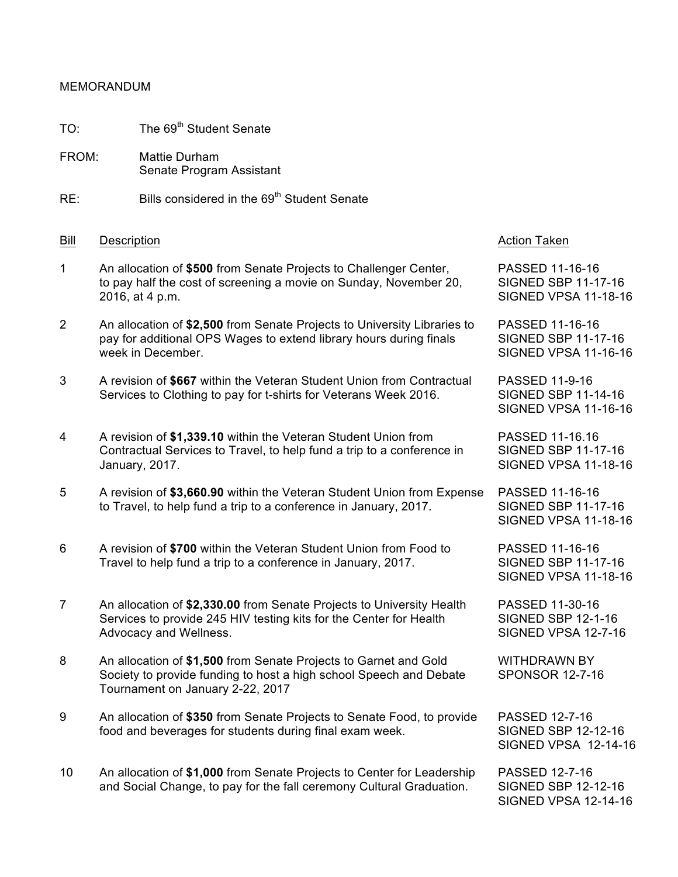## MEMORANDUM

- TO: The 69<sup>th</sup> Student Senate
- FROM: Mattie Durham Senate Program Assistant
- $RE:$  Bills considered in the  $69<sup>th</sup>$  Student Senate

## Bill Description **Action Taken** Bill Description

- 1 An allocation of **\$500** from Senate Projects to Challenger Center, PASSED 11-16-16 to pay half the cost of screening a movie on Sunday, November 20, SIGNED SBP 11-17-16 2016, at 4 p.m. SIGNED VPSA 11-18-16
- 2 An allocation of **\$2,500** from Senate Projects to University Libraries to PASSED 11-16-16 pay for additional OPS Wages to extend library hours during finals SIGNED SBP 11-17-16 week in December. Saar is a state of the state of the SIGNED VPSA 11-16-16 (SIGNED VPSA 11-16-16  $\,$
- 3 A revision of **\$667** within the Veteran Student Union from Contractual PASSED 11-9-16 Services to Clothing to pay for t-shirts for Veterans Week 2016. SIGNED SBP 11-14-16
- 4 A revision of **\$1,339.10** within the Veteran Student Union from PASSED 11-16.16 Contractual Services to Travel, to help fund a trip to a conference in SIGNED SBP 11-17-16 January, 2017. SIGNED VPSA 11-18-16
- 5 A revision of **\$3,660.90** within the Veteran Student Union from Expense PASSED 11-16-16 to Travel, to help fund a trip to a conference in January, 2017. SIGNED SBP 11-17-16
- 6 A revision of **\$700** within the Veteran Student Union from Food to PASSED 11-16-16 Travel to help fund a trip to a conference in January, 2017. SIGNED SBP 11-17-16
- 7 An allocation of **\$2,330.00** from Senate Projects to University Health PASSED 11-30-16 Services to provide 245 HIV testing kits for the Center for Health SIGNED SBP 12-1-16 Advocacy and Wellness. Advocacy and Wellness.
- 8 An allocation of **\$1,500** from Senate Projects to Garnet and Gold WITHDRAWN BY Society to provide funding to host a high school Speech and Debate SPONSOR 12-7-16 Tournament on January 2-22, 2017
- 9 An allocation of **\$350** from Senate Projects to Senate Food, to provide PASSED 12-7-16 food and beverages for students during final exam week. SIGNED SBP 12-12-16
- 10 An allocation of **\$1,000** from Senate Projects to Center for Leadership PASSED 12-7-16 and Social Change, to pay for the fall ceremony Cultural Graduation. SIGNED SBP 12-12-16

SIGNED VPSA 11-16-16

SIGNED VPSA 11-18-16

SIGNED VPSA 11-18-16

SIGNED VPSA 12-14-16

SIGNED VPSA 12-14-16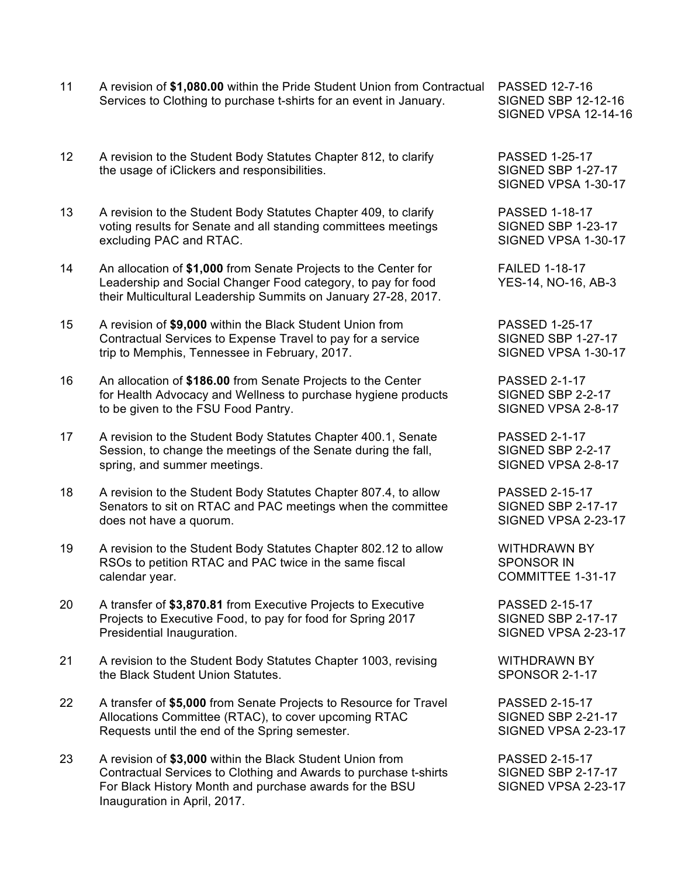- 11 A revision of **\$1,080.00** within the Pride Student Union from Contractual PASSED 12-7-16 Services to Clothing to purchase t-shirts for an event in January. SIGNED SBP 12-12-16
- 12 A revision to the Student Body Statutes Chapter 812, to clarify PASSED 1-25-17 the usage of iClickers and responsibilities. SIGNED SBP 1-27-17
- 13 A revision to the Student Body Statutes Chapter 409, to clarify PASSED 1-18-17 voting results for Senate and all standing committees meetings SIGNED SBP 1-23-17 excluding PAC and RTAC. The state of the state of the SIGNED VPSA 1-30-17
- 14 An allocation of **\$1,000** from Senate Projects to the Center for FAILED 1-18-17 Leadership and Social Changer Food category, to pay for food YES-14, NO-16, AB-3 their Multicultural Leadership Summits on January 27-28, 2017.
- 15 A revision of **\$9,000** within the Black Student Union from PASSED 1-25-17 Contractual Services to Expense Travel to pay for a service SIGNED SBP 1-27-17 trip to Memphis, Tennessee in February, 2017. SIGNED VPSA 1-30-17
- 16 An allocation of **\$186.00** from Senate Projects to the Center PASSED 2-1-17 for Health Advocacy and Wellness to purchase hygiene products SIGNED SBP 2-2-17 to be given to the FSU Food Pantry. The state of the SIGNED VPSA 2-8-17
- 17 A revision to the Student Body Statutes Chapter 400.1, Senate PASSED 2-1-17 Session, to change the meetings of the Senate during the fall, SIGNED SBP 2-2-17 spring, and summer meetings. SIGNED VPSA 2-8-17
- 18 A revision to the Student Body Statutes Chapter 807.4, to allow PASSED 2-15-17 Senators to sit on RTAC and PAC meetings when the committee SIGNED SBP 2-17-17 does not have a quorum.  $\overline{S}$  is the state of the state of the state  $\overline{S}$  SIGNED VPSA 2-23-17
- 19 A revision to the Student Body Statutes Chapter 802.12 to allow WITHDRAWN BY RSOs to petition RTAC and PAC twice in the same fiscal SPONSOR IN calendar year. The community of the community of the community community community community community community  $\sim$  COMMITTEE 1-31-17
- 20 A transfer of **\$3,870.81** from Executive Projects to Executive PASSED 2-15-17 Projects to Executive Food, to pay for food for Spring 2017 SIGNED SBP 2-17-17 Presidential Inauguration. The state of the state of the SIGNED VPSA 2-23-17
- 21 A revision to the Student Body Statutes Chapter 1003, revising WITHDRAWN BY the Black Student Union Statutes. The Statutes of the Second Second Seconds of the Second Seconds of the Second Seconds of the Second Seconds of the Seconds of the Seconds of the Seconds of the Seconds of the Seconds of th
- 22 A transfer of **\$5,000** from Senate Projects to Resource for Travel PASSED 2-15-17 Allocations Committee (RTAC), to cover upcoming RTAC SIGNED SBP 2-21-17 Requests until the end of the Spring semester. SIGNED VPSA 2-23-17
- 23 A revision of **\$3,000** within the Black Student Union from PASSED 2-15-17 Contractual Services to Clothing and Awards to purchase t-shirts SIGNED SBP 2-17-17 For Black History Month and purchase awards for the BSU SIGNED VPSA 2-23-17 Inauguration in April, 2017.

SIGNED VPSA 12-14-16

SIGNED VPSA 1-30-17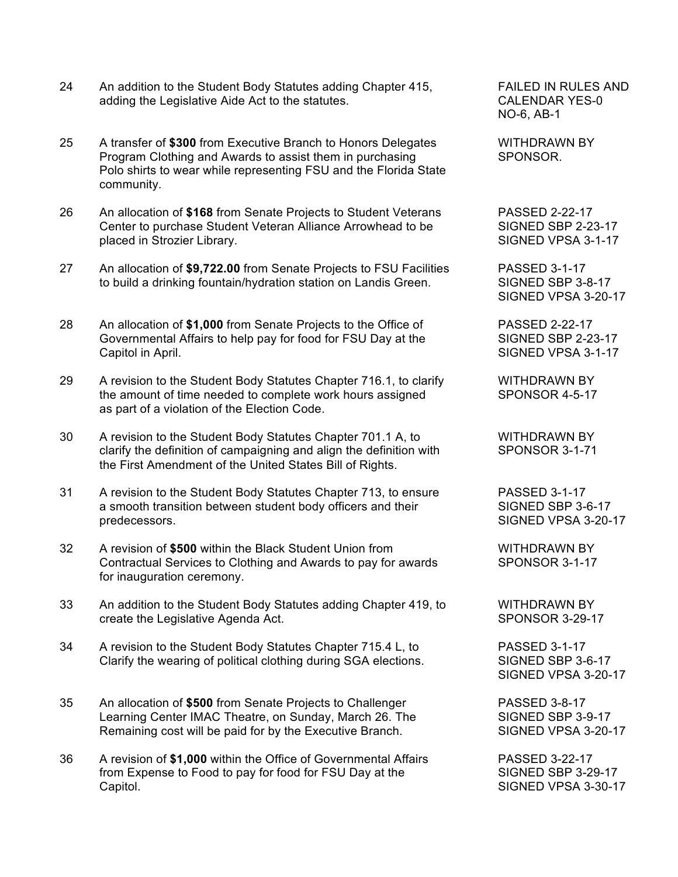- 24 An addition to the Student Body Statutes adding Chapter 415, FAILED IN RULES AND adding the Legislative Aide Act to the statutes. CALENDAR YES-0
- 25 A transfer of **\$300** from Executive Branch to Honors Delegates WITHDRAWN BY Program Clothing and Awards to assist them in purchasing SPONSOR. Polo shirts to wear while representing FSU and the Florida State community.
- 26 An allocation of **\$168** from Senate Projects to Student Veterans PASSED 2-22-17 Center to purchase Student Veteran Alliance Arrowhead to be SIGNED SBP 2-23-17 placed in Strozier Library. SIGNED VPSA 3-1-17
- 27 An allocation of **\$9,722.00** from Senate Projects to FSU Facilities PASSED 3-1-17 to build a drinking fountain/hydration station on Landis Green. SIGNED SBP 3-8-17
- 28 An allocation of **\$1,000** from Senate Projects to the Office of PASSED 2-22-17 Governmental Affairs to help pay for food for FSU Day at the SIGNED SBP 2-23-17 Capitol in April. SIGNED VPSA 3-1-17
- 29 A revision to the Student Body Statutes Chapter 716.1, to clarify WITHDRAWN BY the amount of time needed to complete work hours assigned SPONSOR 4-5-17 as part of a violation of the Election Code.
- 30 A revision to the Student Body Statutes Chapter 701.1 A, to WITHDRAWN BY clarify the definition of campaigning and align the definition with SPONSOR 3-1-71 the First Amendment of the United States Bill of Rights.
- 31 A revision to the Student Body Statutes Chapter 713, to ensure PASSED 3-1-17 a smooth transition between student body officers and their SIGNED SBP 3-6-17 predecessors. SIGNED VPSA 3-20-17
- 32 A revision of \$500 within the Black Student Union from WITHDRAWN BY Contractual Services to Clothing and Awards to pay for awards SPONSOR 3-1-17 for inauguration ceremony.
- 33 An addition to the Student Body Statutes adding Chapter 419, to WITHDRAWN BY create the Legislative Agenda Act. SPONSOR 3-29-17
- 34 A revision to the Student Body Statutes Chapter 715.4 L, to PASSED 3-1-17 Clarify the wearing of political clothing during SGA elections. SIGNED SBP 3-6-17
- 35 An allocation of **\$500** from Senate Projects to Challenger PASSED 3-8-17 Learning Center IMAC Theatre, on Sunday, March 26. The SIGNED SBP 3-9-17<br>Remaining cost will be paid for by the Executive Branch. SIGNED VPSA 3-20-17 Remaining cost will be paid for by the Executive Branch.
- 36 A revision of **\$1,000** within the Office of Governmental Affairs PASSED 3-22-17 from Expense to Food to pay for food for FSU Day at the SIGNED SBP 3-29-17 Capitol. SIGNED VPSA 3-30-17

NO-6, AB-1

SIGNED VPSA 3-20-17

SIGNED VPSA 3-20-17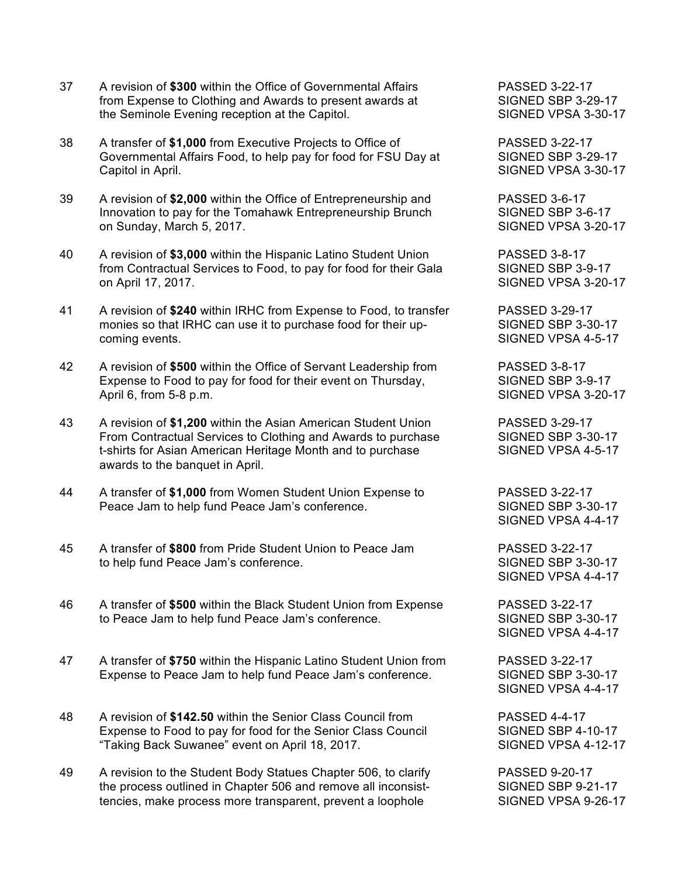- 37 A revision of **\$300** within the Office of Governmental Affairs PASSED 3-22-17 from Expense to Clothing and Awards to present awards at SIGNED SBP 3-29-17 the Seminole Evening reception at the Capitol. The Superson SIGNED VPSA 3-30-17
- 38 A transfer of **\$1,000** from Executive Projects to Office of PASSED 3-22-17 Governmental Affairs Food, to help pay for food for FSU Day at SIGNED SBP 3-29-17 Capitol in April. Capitol in April.
- 39 A revision of **\$2,000** within the Office of Entrepreneurship and PASSED 3-6-17 Innovation to pay for the Tomahawk Entrepreneurship Brunch SIGNED SBP 3-6-17 on Sunday, March 5, 2017. Signe 1, 2008 and the Sunday Signe Device 1, 2004 17
- 40 A revision of **\$3,000** within the Hispanic Latino Student Union PASSED 3-8-17 from Contractual Services to Food, to pay for food for their Gala SIGNED SBP 3-9-17 on April 17, 2017. SIGNED VPSA 3-20-17
- 41 A revision of **\$240** within IRHC from Expense to Food, to transfer PASSED 3-29-17 monies so that IRHC can use it to purchase food for their up-<br>SIGNED SBP 3-30-17 coming events. SIGNED VPSA 4-5-17
- 42 A revision of **\$500** within the Office of Servant Leadership from PASSED 3-8-17 Expense to Food to pay for food for their event on Thursday, SIGNED SBP 3-9-17 April 6, from 5-8 p.m. SIGNED VPSA 3-20-17
- 43 A revision of **\$1,200** within the Asian American Student Union PASSED 3-29-17 From Contractual Services to Clothing and Awards to purchase SIGNED SBP 3-30-17 t-shirts for Asian American Heritage Month and to purchase SIGNED VPSA 4-5-17 awards to the banquet in April.
- 44 A transfer of **\$1,000** from Women Student Union Expense to PASSED 3-22-17 Peace Jam to help fund Peace Jam's conference. SIGNED SBP 3-30-17
- 45 A transfer of **\$800** from Pride Student Union to Peace Jam PASSED 3-22-17 to help fund Peace Jam's conference. SIGNED SBP 3-30-17
- 46 A transfer of **\$500** within the Black Student Union from Expense PASSED 3-22-17 to Peace Jam to help fund Peace Jam's conference. SIGNED SBP 3-30-17
- 47 A transfer of **\$750** within the Hispanic Latino Student Union from PASSED 3-22-17 Expense to Peace Jam to help fund Peace Jam's conference. SIGNED SBP 3-30-17
- 48 A revision of **\$142.50** within the Senior Class Council from PASSED 4-4-17 Expense to Food to pay for food for the Senior Class Council SIGNED SBP 4-10-17 "Taking Back Suwanee" event on April 18, 2017. SIGNED VPSA 4-12-17
- 49 A revision to the Student Body Statues Chapter 506, to clarify PASSED 9-20-17 the process outlined in Chapter 506 and remove all inconsist-<br>SIGNED SBP 9-21-17 tencies, make process more transparent, prevent a loophole SIGNED VPSA 9-26-17

SIGNED VPSA 4-4-17

SIGNED VPSA 4-4-17

SIGNED VPSA 4-4-17

SIGNED VPSA 4-4-17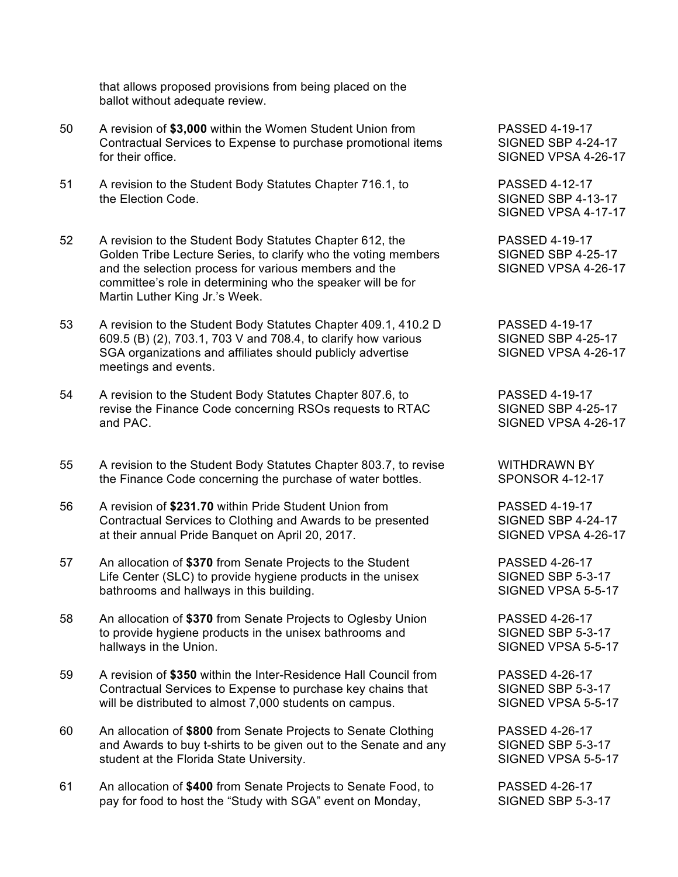that allows proposed provisions from being placed on the ballot without adequate review.

- 50 A revision of **\$3,000** within the Women Student Union from PASSED 4-19-17 Contractual Services to Expense to purchase promotional items SIGNED SBP 4-24-17 for their office. SIGNED VPSA 4-26-17
- 51 A revision to the Student Body Statutes Chapter 716.1, to PASSED 4-12-17 the Election Code. SIGNED SBP 4-13-17
- 52 A revision to the Student Body Statutes Chapter 612, the PASSED 4-19-17 Golden Tribe Lecture Series, to clarify who the voting members SIGNED SBP 4-25-17<br>and the selection process for various members and the SIGNED VPSA 4-26-17 and the selection process for various members and the committee's role in determining who the speaker will be for Martin Luther King Jr.'s Week.
- 53 A revision to the Student Body Statutes Chapter 409.1, 410.2 D PASSED 4-19-17 609.5 (B) (2), 703.1, 703 V and 708.4, to clarify how various SIGNED SBP 4-25-17 SGA organizations and affiliates should publicly advertise SIGNED VPSA 4-26-17 meetings and events.
- 54 A revision to the Student Body Statutes Chapter 807.6, to PASSED 4-19-17 revise the Finance Code concerning RSOs requests to RTAC SIGNED SBP 4-25-17 and PAC. SIGNED VPSA 4-26-17
- 55 A revision to the Student Body Statutes Chapter 803.7, to revise WITHDRAWN BY the Finance Code concerning the purchase of water bottles. SPONSOR 4-12-17
- 56 A revision of **\$231.70** within Pride Student Union from PASSED 4-19-17 Contractual Services to Clothing and Awards to be presented SIGNED SBP 4-24-17 at their annual Pride Banquet on April 20, 2017. SIGNED VPSA 4-26-17
- 57 An allocation of **\$370** from Senate Projects to the Student PASSED 4-26-17 Life Center (SLC) to provide hygiene products in the unisex SIGNED SBP 5-3-17 bathrooms and hallways in this building. The state of the SIGNED VPSA 5-5-17
- 58 An allocation of **\$370** from Senate Projects to Oglesby Union PASSED 4-26-17 to provide hygiene products in the unisex bathrooms and SIGNED SBP 5-3-17 hallways in the Union. SIGNED VPSA 5-5-17
- 59 A revision of **\$350** within the Inter-Residence Hall Council from PASSED 4-26-17 Contractual Services to Expense to purchase key chains that SIGNED SBP 5-3-17 will be distributed to almost 7,000 students on campus. SIGNED VPSA 5-5-17
- 60 An allocation of **\$800** from Senate Projects to Senate Clothing PASSED 4-26-17 and Awards to buy t-shirts to be given out to the Senate and any SIGNED SBP 5-3-17 student at the Florida State University. The SIGNED VPSA 5-5-17
- 61 An allocation of **\$400** from Senate Projects to Senate Food, to PASSED 4-26-17 pay for food to host the "Study with SGA" event on Monday, SIGNED SBP 5-3-17

SIGNED VPSA 4-17-17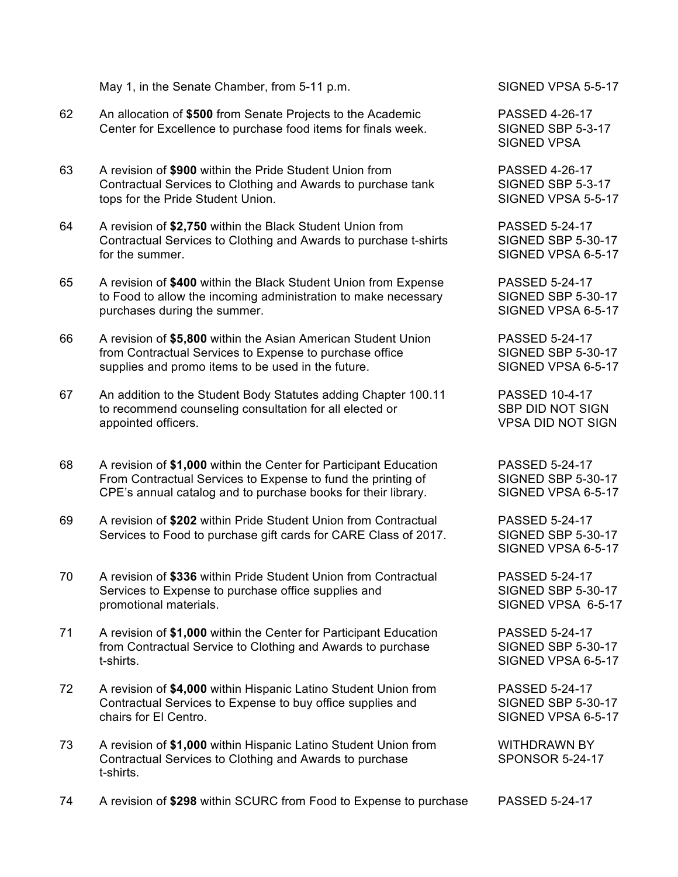|  | May 1, in the Senate Chamber, from 5-11 p.m. |  |
|--|----------------------------------------------|--|
|  |                                              |  |

- 62 An allocation of **\$500** from Senate Projects to the Academic PASSED 4-26-17 Center for Excellence to purchase food items for finals week. SIGNED SBP 5-3-17
- 63 A revision of **\$900** within the Pride Student Union from PASSED 4-26-17 Contractual Services to Clothing and Awards to purchase tank SIGNED SBP 5-3-17 tops for the Pride Student Union. The Student Union SIGNED VPSA 5-5-17
- 64 A revision of **\$2,750** within the Black Student Union from PASSED 5-24-17 Contractual Services to Clothing and Awards to purchase t-shirts SIGNED SBP 5-30-17 for the summer. SIGNED VPSA 6-5-17
- 65 A revision of **\$400** within the Black Student Union from Expense PASSED 5-24-17 to Food to allow the incoming administration to make necessary SIGNED SBP 5-30-17 purchases during the summer.  $\blacksquare$
- 66 A revision of **\$5,800** within the Asian American Student Union PASSED 5-24-17 from Contractual Services to Expense to purchase office SIGNED SBP 5-30-17 supplies and promo items to be used in the future. SIGNED VPSA 6-5-17
- 67 An addition to the Student Body Statutes adding Chapter 100.11 PASSED 10-4-17 to recommend counseling consultation for all elected or SBP DID NOT SIGN appointed officers. VPSA DID NOT SIGN
- 68 A revision of **\$1,000** within the Center for Participant Education PASSED 5-24-17 From Contractual Services to Expense to fund the printing of SIGNED SBP 5-30-17 CPE's annual catalog and to purchase books for their library. SIGNED VPSA 6-5-17
- 69 A revision of **\$202** within Pride Student Union from Contractual PASSED 5-24-17 Services to Food to purchase gift cards for CARE Class of 2017. SIGNED SBP 5-30-17
- 70 A revision of **\$336** within Pride Student Union from Contractual PASSED 5-24-17 Services to Expense to purchase office supplies and SIGNED SBP 5-30-17 promotional materials. SIGNED VPSA 6-5-17
- 71 A revision of **\$1,000** within the Center for Participant Education PASSED 5-24-17 from Contractual Service to Clothing and Awards to purchase SIGNED SBP 5-30-17 t-shirts. SIGNED VPSA 6-5-17
- 72 A revision of **\$4,000** within Hispanic Latino Student Union from PASSED 5-24-17 Contractual Services to Expense to buy office supplies and SIGNED SBP 5-30-17 chairs for El Centro. SIGNED VPSA 6-5-17
- 73 A revision of **\$1,000** within Hispanic Latino Student Union from WITHDRAWN BY Contractual Services to Clothing and Awards to purchase SPONSOR 5-24-17 t-shirts.

SIGNED VPSA 5-5-17

SIGNED VPSA

SIGNED VPSA 6-5-17

74 A revision of **\$298** within SCURC from Food to Expense to purchase PASSED 5-24-17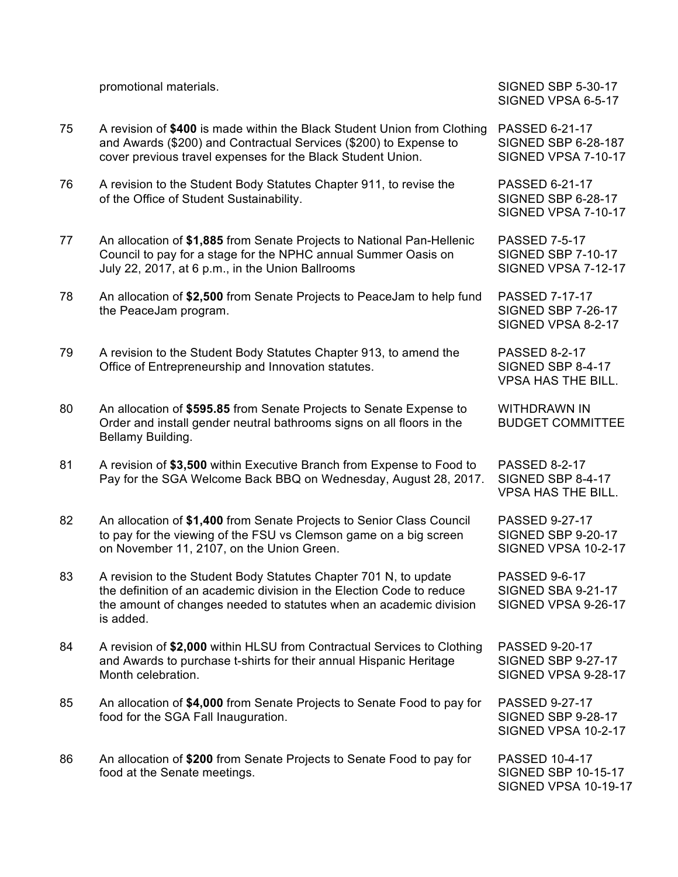|    | promotional materials.                                                                                                                                                                                                       | <b>SIGNED SBP 5-30-17</b><br>SIGNED VPSA 6-5-17                                    |
|----|------------------------------------------------------------------------------------------------------------------------------------------------------------------------------------------------------------------------------|------------------------------------------------------------------------------------|
| 75 | A revision of \$400 is made within the Black Student Union from Clothing<br>and Awards (\$200) and Contractual Services (\$200) to Expense to<br>cover previous travel expenses for the Black Student Union.                 | PASSED 6-21-17<br><b>SIGNED SBP 6-28-187</b><br>SIGNED VPSA 7-10-17                |
| 76 | A revision to the Student Body Statutes Chapter 911, to revise the<br>of the Office of Student Sustainability.                                                                                                               | <b>PASSED 6-21-17</b><br><b>SIGNED SBP 6-28-17</b><br>SIGNED VPSA 7-10-17          |
| 77 | An allocation of \$1,885 from Senate Projects to National Pan-Hellenic<br>Council to pay for a stage for the NPHC annual Summer Oasis on<br>July 22, 2017, at 6 p.m., in the Union Ballrooms                                 | <b>PASSED 7-5-17</b><br><b>SIGNED SBP 7-10-17</b><br>SIGNED VPSA 7-12-17           |
| 78 | An allocation of \$2,500 from Senate Projects to PeaceJam to help fund<br>the PeaceJam program.                                                                                                                              | <b>PASSED 7-17-17</b><br><b>SIGNED SBP 7-26-17</b><br>SIGNED VPSA 8-2-17           |
| 79 | A revision to the Student Body Statutes Chapter 913, to amend the<br>Office of Entrepreneurship and Innovation statutes.                                                                                                     | <b>PASSED 8-2-17</b><br>SIGNED SBP 8-4-17<br><b>VPSA HAS THE BILL.</b>             |
| 80 | An allocation of \$595.85 from Senate Projects to Senate Expense to<br>Order and install gender neutral bathrooms signs on all floors in the<br>Bellamy Building.                                                            | <b>WITHDRAWN IN</b><br><b>BUDGET COMMITTEE</b>                                     |
| 81 | A revision of \$3,500 within Executive Branch from Expense to Food to<br>Pay for the SGA Welcome Back BBQ on Wednesday, August 28, 2017.                                                                                     | <b>PASSED 8-2-17</b><br>SIGNED SBP 8-4-17<br><b>VPSA HAS THE BILL.</b>             |
| 82 | An allocation of \$1,400 from Senate Projects to Senior Class Council<br>to pay for the viewing of the FSU vs Clemson game on a big screen<br>on November 11, 2107, on the Union Green.                                      | <b>PASSED 9-27-17</b><br><b>SIGNED SBP 9-20-17</b><br>SIGNED VPSA 10-2-17          |
| 83 | A revision to the Student Body Statutes Chapter 701 N, to update<br>the definition of an academic division in the Election Code to reduce<br>the amount of changes needed to statutes when an academic division<br>is added. | <b>PASSED 9-6-17</b><br><b>SIGNED SBA 9-21-17</b><br>SIGNED VPSA 9-26-17           |
| 84 | A revision of \$2,000 within HLSU from Contractual Services to Clothing<br>and Awards to purchase t-shirts for their annual Hispanic Heritage<br>Month celebration.                                                          | <b>PASSED 9-20-17</b><br><b>SIGNED SBP 9-27-17</b><br>SIGNED VPSA 9-28-17          |
| 85 | An allocation of \$4,000 from Senate Projects to Senate Food to pay for<br>food for the SGA Fall Inauguration.                                                                                                               | <b>PASSED 9-27-17</b><br><b>SIGNED SBP 9-28-17</b><br>SIGNED VPSA 10-2-17          |
| 86 | An allocation of \$200 from Senate Projects to Senate Food to pay for<br>food at the Senate meetings.                                                                                                                        | <b>PASSED 10-4-17</b><br><b>SIGNED SBP 10-15-17</b><br><b>SIGNED VPSA 10-19-17</b> |